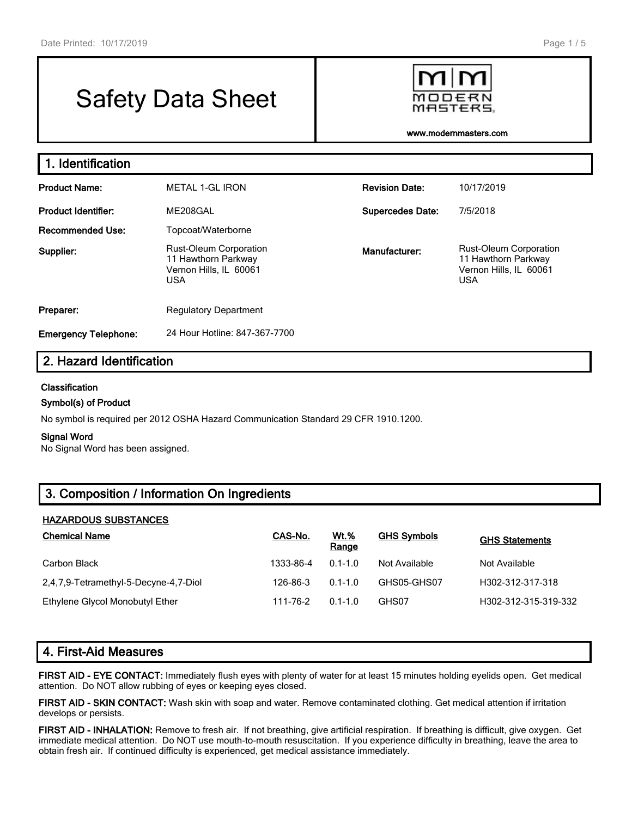# Safety Data Sheet



**www.modernmasters.com**

| 1. Identification           |                                                                                              |                         |                                                                                              |  |  |  |
|-----------------------------|----------------------------------------------------------------------------------------------|-------------------------|----------------------------------------------------------------------------------------------|--|--|--|
| <b>Product Name:</b>        | <b>METAL 1-GL IRON</b>                                                                       | <b>Revision Date:</b>   | 10/17/2019                                                                                   |  |  |  |
| <b>Product Identifier:</b>  | ME208GAL                                                                                     | <b>Supercedes Date:</b> | 7/5/2018                                                                                     |  |  |  |
| <b>Recommended Use:</b>     | Topcoat/Waterborne                                                                           |                         |                                                                                              |  |  |  |
| Supplier:                   | <b>Rust-Oleum Corporation</b><br>11 Hawthorn Parkway<br>Vernon Hills, IL 60061<br><b>USA</b> | Manufacturer:           | <b>Rust-Oleum Corporation</b><br>11 Hawthorn Parkway<br>Vernon Hills, IL 60061<br><b>USA</b> |  |  |  |
| Preparer:                   | <b>Regulatory Department</b>                                                                 |                         |                                                                                              |  |  |  |
| <b>Emergency Telephone:</b> | 24 Hour Hotline: 847-367-7700                                                                |                         |                                                                                              |  |  |  |

# **2. Hazard Identification**

#### **Classification**

#### **Symbol(s) of Product**

No symbol is required per 2012 OSHA Hazard Communication Standard 29 CFR 1910.1200.

#### **Signal Word**

No Signal Word has been assigned.

# **3. Composition / Information On Ingredients**

#### **HAZARDOUS SUBSTANCES**

| <b>Chemical Name</b>                  | CAS-No.   | <u>Wt.%</u><br>Range | <b>GHS Symbols</b> | <b>GHS Statements</b> |
|---------------------------------------|-----------|----------------------|--------------------|-----------------------|
| Carbon Black                          | 1333-86-4 | $0.1 - 1.0$          | Not Available      | Not Available         |
| 2,4,7,9-Tetramethyl-5-Decyne-4,7-Diol | 126-86-3  | $0.1 - 1.0$          | GHS05-GHS07        | H302-312-317-318      |
| Ethylene Glycol Monobutyl Ether       | 111-76-2  | $0.1 - 1.0$          | GHS07              | H302-312-315-319-332  |

## **4. First-Aid Measures**

**FIRST AID - EYE CONTACT:** Immediately flush eyes with plenty of water for at least 15 minutes holding eyelids open. Get medical attention. Do NOT allow rubbing of eyes or keeping eyes closed.

**FIRST AID - SKIN CONTACT:** Wash skin with soap and water. Remove contaminated clothing. Get medical attention if irritation develops or persists.

**FIRST AID - INHALATION:** Remove to fresh air. If not breathing, give artificial respiration. If breathing is difficult, give oxygen. Get immediate medical attention. Do NOT use mouth-to-mouth resuscitation. If you experience difficulty in breathing, leave the area to obtain fresh air. If continued difficulty is experienced, get medical assistance immediately.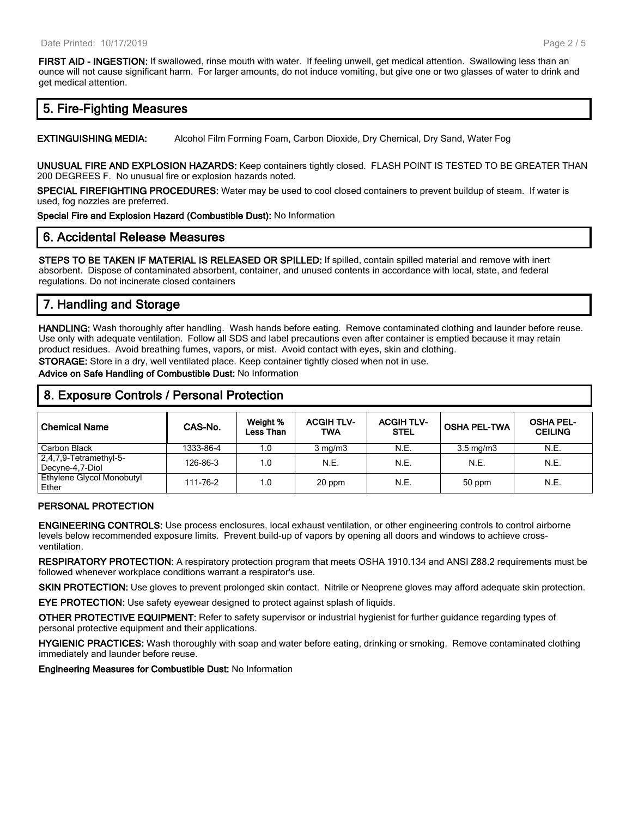**FIRST AID - INGESTION:** If swallowed, rinse mouth with water. If feeling unwell, get medical attention. Swallowing less than an ounce will not cause significant harm. For larger amounts, do not induce vomiting, but give one or two glasses of water to drink and get medical attention.

# **5. Fire-Fighting Measures**

**EXTINGUISHING MEDIA:** Alcohol Film Forming Foam, Carbon Dioxide, Dry Chemical, Dry Sand, Water Fog

**UNUSUAL FIRE AND EXPLOSION HAZARDS:** Keep containers tightly closed. FLASH POINT IS TESTED TO BE GREATER THAN 200 DEGREES F. No unusual fire or explosion hazards noted.

**SPECIAL FIREFIGHTING PROCEDURES:** Water may be used to cool closed containers to prevent buildup of steam. If water is used, fog nozzles are preferred.

**Special Fire and Explosion Hazard (Combustible Dust):** No Information

#### **6. Accidental Release Measures**

**STEPS TO BE TAKEN IF MATERIAL IS RELEASED OR SPILLED:** If spilled, contain spilled material and remove with inert absorbent. Dispose of contaminated absorbent, container, and unused contents in accordance with local, state, and federal regulations. Do not incinerate closed containers

# **7. Handling and Storage**

**HANDLING:** Wash thoroughly after handling. Wash hands before eating. Remove contaminated clothing and launder before reuse. Use only with adequate ventilation. Follow all SDS and label precautions even after container is emptied because it may retain product residues. Avoid breathing fumes, vapors, or mist. Avoid contact with eyes, skin and clothing.

**STORAGE:** Store in a dry, well ventilated place. Keep container tightly closed when not in use.

**Advice on Safe Handling of Combustible Dust:** No Information

# **8. Exposure Controls / Personal Protection**

| <b>Chemical Name</b>                         | CAS-No.   | Weight %<br>Less Than | <b>ACGIH TLV-</b><br><b>TWA</b> | <b>ACGIH TLV-</b><br><b>STEL</b> | <b>OSHA PEL-TWA</b> | <b>OSHA PEL-</b><br><b>CEILING</b> |
|----------------------------------------------|-----------|-----------------------|---------------------------------|----------------------------------|---------------------|------------------------------------|
| Carbon Black                                 | 1333-86-4 | 1.0                   | $3 \text{ mg/m}$                | N.E.                             | $3.5 \text{ mg/m}$  | N.E.                               |
| $2,4,7,9$ -Tetramethyl-5-<br>Decyne-4,7-Diol | 126-86-3  | 1.0                   | N.E.                            | N.E.                             | N.E.                | N.E.                               |
| Ethylene Glycol Monobutyl<br>Ether           | 111-76-2  | 1.0                   | 20 ppm                          | N.E.                             | 50 ppm              | N.E.                               |

#### **PERSONAL PROTECTION**

**ENGINEERING CONTROLS:** Use process enclosures, local exhaust ventilation, or other engineering controls to control airborne levels below recommended exposure limits. Prevent build-up of vapors by opening all doors and windows to achieve crossventilation.

**RESPIRATORY PROTECTION:** A respiratory protection program that meets OSHA 1910.134 and ANSI Z88.2 requirements must be followed whenever workplace conditions warrant a respirator's use.

**SKIN PROTECTION:** Use gloves to prevent prolonged skin contact. Nitrile or Neoprene gloves may afford adequate skin protection.

**EYE PROTECTION:** Use safety eyewear designed to protect against splash of liquids.

**OTHER PROTECTIVE EQUIPMENT:** Refer to safety supervisor or industrial hygienist for further guidance regarding types of personal protective equipment and their applications.

**HYGIENIC PRACTICES:** Wash thoroughly with soap and water before eating, drinking or smoking. Remove contaminated clothing immediately and launder before reuse.

**Engineering Measures for Combustible Dust:** No Information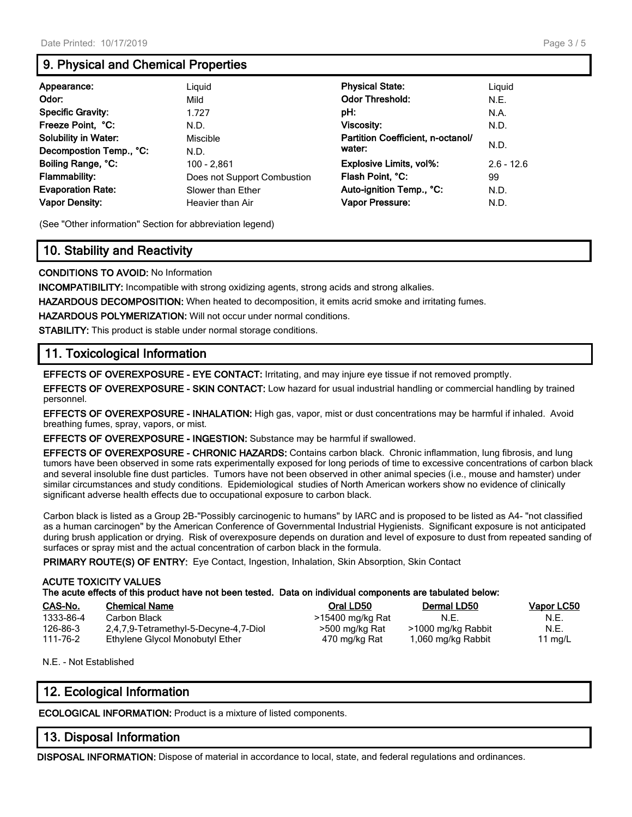# **9. Physical and Chemical Properties**

| Appearance:                 | Liguid                      | <b>Physical State:</b>            | Liguid       |
|-----------------------------|-----------------------------|-----------------------------------|--------------|
| Odor:                       | Mild                        | <b>Odor Threshold:</b>            | N.E.         |
| <b>Specific Gravity:</b>    | 1.727                       | pH:                               | N.A.         |
| Freeze Point, °C:           | N.D.                        | <b>Viscosity:</b>                 | N.D.         |
| <b>Solubility in Water:</b> | Miscible                    | Partition Coefficient, n-octanol/ |              |
| Decompostion Temp., °C:     | N.D.                        | water:                            | N.D.         |
| Boiling Range, °C:          | 100 - 2,861                 | <b>Explosive Limits, vol%:</b>    | $2.6 - 12.6$ |
| <b>Flammability:</b>        | Does not Support Combustion | Flash Point, °C:                  | 99           |
| <b>Evaporation Rate:</b>    | Slower than Ether           | Auto-ignition Temp., °C:          | N.D.         |
| <b>Vapor Density:</b>       | Heavier than Air            | Vapor Pressure:                   | N.D.         |

(See "Other information" Section for abbreviation legend)

# **10. Stability and Reactivity**

**CONDITIONS TO AVOID:** No Information

**INCOMPATIBILITY:** Incompatible with strong oxidizing agents, strong acids and strong alkalies.

**HAZARDOUS DECOMPOSITION:** When heated to decomposition, it emits acrid smoke and irritating fumes.

**HAZARDOUS POLYMERIZATION:** Will not occur under normal conditions.

**STABILITY:** This product is stable under normal storage conditions.

# **11. Toxicological Information**

**EFFECTS OF OVEREXPOSURE - EYE CONTACT:** Irritating, and may injure eye tissue if not removed promptly.

**EFFECTS OF OVEREXPOSURE - SKIN CONTACT:** Low hazard for usual industrial handling or commercial handling by trained personnel.

**EFFECTS OF OVEREXPOSURE - INHALATION:** High gas, vapor, mist or dust concentrations may be harmful if inhaled. Avoid breathing fumes, spray, vapors, or mist.

**EFFECTS OF OVEREXPOSURE - INGESTION:** Substance may be harmful if swallowed.

**EFFECTS OF OVEREXPOSURE - CHRONIC HAZARDS:** Contains carbon black. Chronic inflammation, lung fibrosis, and lung tumors have been observed in some rats experimentally exposed for long periods of time to excessive concentrations of carbon black and several insoluble fine dust particles. Tumors have not been observed in other animal species (i.e., mouse and hamster) under similar circumstances and study conditions. Epidemiological studies of North American workers show no evidence of clinically significant adverse health effects due to occupational exposure to carbon black.

Carbon black is listed as a Group 2B-"Possibly carcinogenic to humans" by IARC and is proposed to be listed as A4- "not classified as a human carcinogen" by the American Conference of Governmental Industrial Hygienists. Significant exposure is not anticipated during brush application or drying. Risk of overexposure depends on duration and level of exposure to dust from repeated sanding of surfaces or spray mist and the actual concentration of carbon black in the formula.

**PRIMARY ROUTE(S) OF ENTRY:** Eye Contact, Ingestion, Inhalation, Skin Absorption, Skin Contact

#### **ACUTE TOXICITY VALUES The acute effects of this product have not been tested. Data on individual components are tabulated below:**

| CAS-No.   | <b>Chemical Name</b>                  | Oral LD50        | Dermal LD50        | <b>Vapor LC50</b> |
|-----------|---------------------------------------|------------------|--------------------|-------------------|
| 1333-86-4 | Carbon Black                          | >15400 mg/kg Rat | N.E.               | N.E.              |
| 126-86-3  | 2,4,7,9-Tetramethyl-5-Decyne-4,7-Diol | >500 mg/kg Rat   | >1000 mg/kg Rabbit | N.E.              |
| 111-76-2  | Ethylene Glycol Monobutyl Ether       | 470 mg/kg Rat    | 1,060 mg/kg Rabbit | 11 mg/L           |

N.E. - Not Established

# **12. Ecological Information**

**ECOLOGICAL INFORMATION:** Product is a mixture of listed components.

# **13. Disposal Information**

**DISPOSAL INFORMATION:** Dispose of material in accordance to local, state, and federal regulations and ordinances.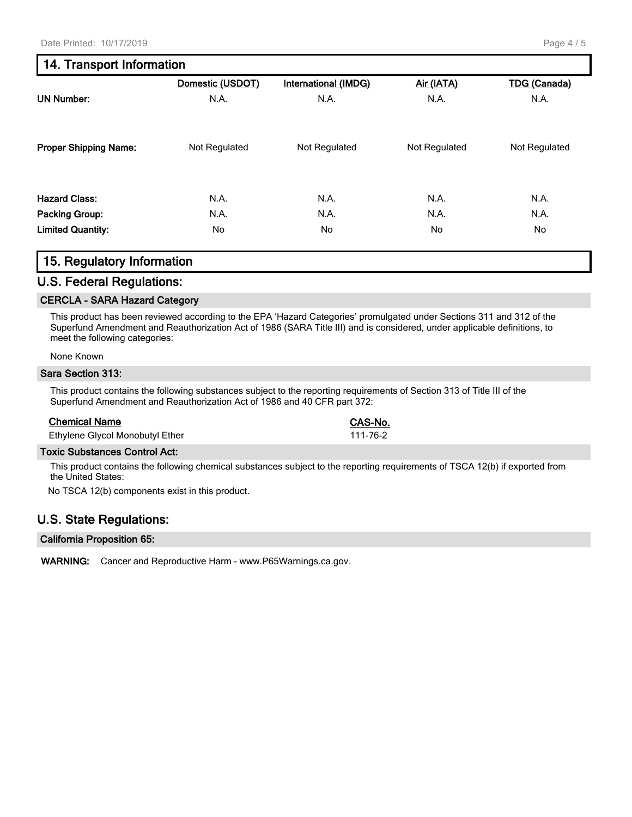# **14. Transport Information**

|                              | Domestic (USDOT) | <b>International (IMDG)</b> | Air (IATA)    | <b>TDG</b> (Canada) |
|------------------------------|------------------|-----------------------------|---------------|---------------------|
| <b>UN Number:</b>            | N.A.             | N.A.                        | N.A.          | N.A.                |
| <b>Proper Shipping Name:</b> | Not Regulated    | Not Regulated               | Not Regulated | Not Regulated       |
| <b>Hazard Class:</b>         | N.A.             | N.A.                        | N.A.          | N.A.                |
| <b>Packing Group:</b>        | N.A.             | N.A.                        | N.A.          | N.A.                |
| <b>Limited Quantity:</b>     | No.              | No                          | No.           | No                  |

# **15. Regulatory Information**

## **U.S. Federal Regulations:**

#### **CERCLA - SARA Hazard Category**

This product has been reviewed according to the EPA 'Hazard Categories' promulgated under Sections 311 and 312 of the Superfund Amendment and Reauthorization Act of 1986 (SARA Title III) and is considered, under applicable definitions, to meet the following categories:

#### None Known

#### **Sara Section 313:**

This product contains the following substances subject to the reporting requirements of Section 313 of Title III of the Superfund Amendment and Reauthorization Act of 1986 and 40 CFR part 372:

#### **Chemical Name CAS-No.**

Ethylene Glycol Monobutyl Ether 111-76-2

#### **Toxic Substances Control Act:**

This product contains the following chemical substances subject to the reporting requirements of TSCA 12(b) if exported from the United States:

No TSCA 12(b) components exist in this product.

# **U.S. State Regulations:**

#### **California Proposition 65:**

**WARNING:** Cancer and Reproductive Harm - www.P65Warnings.ca.gov.